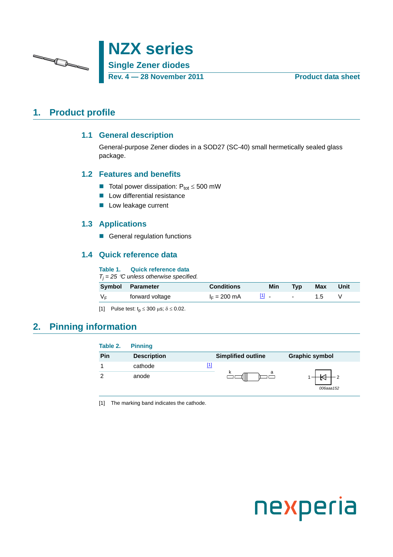

# **NZX series Single Zener diodes**

**Rev. 4 — 28 November 2011 Product data sheet**

### <span id="page-0-4"></span><span id="page-0-3"></span>**1. Product profile**

### **1.1 General description**

General-purpose Zener diodes in a SOD27 (SC-40) small hermetically sealed glass package.

### <span id="page-0-2"></span>**1.2 Features and benefits**

- Total power dissipation:  $P_{tot} \le 500$  mW
- **Low differential resistance**
- **Low leakage current**

### <span id="page-0-5"></span>**1.3 Applications**

General regulation functions

### <span id="page-0-6"></span>**1.4 Quick reference data**

### **Table 1. Quick reference data**

|             | $T_i = 25$ °C unless otherwise specified. |                   |                                       |                    |     |      |
|-------------|-------------------------------------------|-------------------|---------------------------------------|--------------------|-----|------|
| Symbol      | Parameter                                 | <b>Conditions</b> | Min                                   | Tvp                | Max | Unit |
| $V_{\rm F}$ | forward voltage                           | $I_F = 200$ mA    | $\begin{bmatrix} 1 & 1 \end{bmatrix}$ | $\sim$ 10 $\sigma$ | 15  |      |

<span id="page-0-0"></span>[1] Pulse test:  $t_p \le 300 \text{ }\mu\text{s}; \delta \le 0.02$ .

### <span id="page-0-7"></span>**2. Pinning information**

| Table 2. | <b>Pinning</b>     |                           |                       |
|----------|--------------------|---------------------------|-----------------------|
| Pin      | <b>Description</b> | <b>Simplified outline</b> | <b>Graphic symbol</b> |
|          | cathode            | <u>[1]</u>                |                       |
|          | anode              | k<br>a                    | 006aaa152             |

<span id="page-0-1"></span>[1] The marking band indicates the cathode.

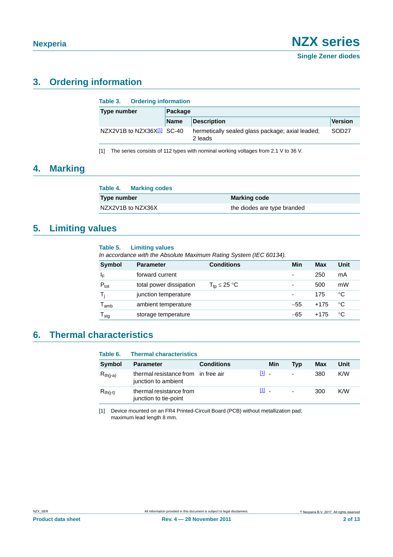**Single Zener diodes**

### <span id="page-1-2"></span>**3. Ordering information**

| <b>Ordering information</b><br>Table 3. |         |                                                             |                   |
|-----------------------------------------|---------|-------------------------------------------------------------|-------------------|
| <b>Type number</b>                      | Package |                                                             |                   |
|                                         | Name    | Description                                                 | <b>Version</b>    |
| NZX2V1B to NZX36X <sup>[1]</sup> SC-40  |         | hermetically sealed glass package; axial leaded;<br>2 leads | SOD <sub>27</sub> |

<span id="page-1-0"></span>[1] The series consists of 112 types with nominal working voltages from 2.1 V to 36 V.

### <span id="page-1-3"></span>**4. Marking**

| Table 4. Marking codes |                             |
|------------------------|-----------------------------|
| Type number            | <b>Marking code</b>         |
| NZX2V1B to NZX36X      | the diodes are type branded |

### <span id="page-1-4"></span>**5. Limiting values**

#### **Table 5. Limiting values**

*In accordance with the Absolute Maximum Rating System (IEC 60134).*

| Symbol                      | <b>Parameter</b>        | <b>Conditions</b>            | Min                      | Max    | Unit |
|-----------------------------|-------------------------|------------------------------|--------------------------|--------|------|
| I⊧                          | forward current         |                              | $\overline{\phantom{a}}$ | 250    | mA   |
| $P_{\text{tot}}$            | total power dissipation | $T_{\text{th}}$ $\leq$ 25 °C | $\overline{\phantom{a}}$ | 500    | mW   |
|                             | junction temperature    |                              | $\overline{\phantom{0}}$ | 175    | °C   |
| $\mathsf{T}_{\mathsf{amb}}$ | ambient temperature     |                              | $-55$                    | $+175$ | ℃    |
| ${\mathsf T}_{\text{stg}}$  | storage temperature     |                              | $-65$                    | +175   | °C   |

### <span id="page-1-5"></span>**6. Thermal characteristics**

#### **Table 6. Thermal characteristics**

| Symbol        | <b>Parameter</b>                                           | <b>Conditions</b> |                                     | Min | <b>Typ</b>               | Max | Unit |
|---------------|------------------------------------------------------------|-------------------|-------------------------------------|-----|--------------------------|-----|------|
| $R_{th(i-a)}$ | thermal resistance from in free air<br>junction to ambient |                   | $[1]$ .                             |     | $\overline{\phantom{a}}$ | 380 | K/W  |
| $R_{th(i-t)}$ | thermal resistance from<br>junction to tie-point           |                   | $\begin{bmatrix} 1 \end{bmatrix}$ . |     | $\blacksquare$           | 300 | K/W  |

<span id="page-1-1"></span>[1] Device mounted on an FR4 Printed-Circuit Board (PCB) without metallization pad; maximum lead length 8 mm.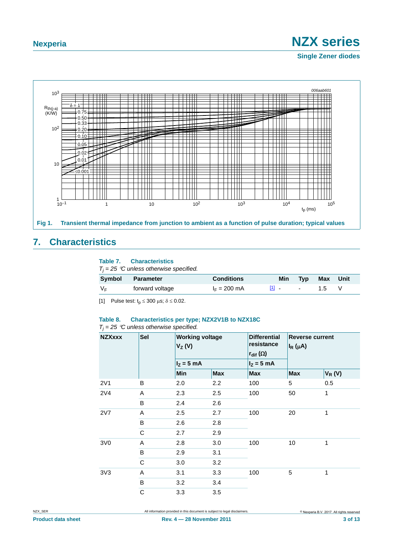**Single Zener diodes**



### <span id="page-2-1"></span>**7. Characteristics**

#### **Table 7. Characteristics**

 $T_i = 25$  *°C unless otherwise specified.* 

| Symbol | Parameter       | <b>Conditions</b>      | Min.                                           | <b>Typ</b>                    | Max | – Unit |  |
|--------|-----------------|------------------------|------------------------------------------------|-------------------------------|-----|--------|--|
| ∨⊧     | forward voltage | $I_F = 200 \text{ mA}$ | $\begin{bmatrix} 1 & 1 \\ 1 & 1 \end{bmatrix}$ | and the state of the state of | 1.5 |        |  |

<span id="page-2-0"></span>[1] Pulse test:  $t_p \le 300 \text{ }\mu\text{s}; \delta \le 0.02$ .

#### **Table 8. Characteristics per type; NZX2V1B to NZX18C**

### $T_j = 25$  *°C unless otherwise specified.*

| <b>NZXxxx</b>   | <b>Sel</b> | <b>Working voltage</b><br>$V_Z(V)$ |            | <b>Differential</b><br>resistance<br>$r_{\text{dif}}(\Omega)$ | <b>Reverse current</b><br>$I_R(\mu A)$ |          |
|-----------------|------------|------------------------------------|------------|---------------------------------------------------------------|----------------------------------------|----------|
|                 |            | $I_z = 5$ mA                       |            | $I_z = 5$ mA                                                  |                                        |          |
|                 |            | Min                                | <b>Max</b> | <b>Max</b>                                                    | <b>Max</b>                             | $V_R(V)$ |
| 2V1             | В          | 2.0                                | 2.2        | 100                                                           | 5                                      | 0.5      |
| 2V <sub>4</sub> | Α          | 2.3                                | 2.5        | 100                                                           | 50                                     | 1        |
|                 | B          | 2.4                                | 2.6        |                                                               |                                        |          |
| <b>2V7</b>      | Α          | 2.5                                | 2.7        | 100                                                           | 20<br>1                                |          |
|                 | B          | 2.6                                | 2.8        |                                                               |                                        |          |
|                 | C          | 2.7                                | 2.9        |                                                               |                                        |          |
| 3V <sub>0</sub> | Α          | 2.8                                | 3.0        | 100                                                           | 10                                     | 1        |
|                 | B          | 2.9                                | 3.1        |                                                               |                                        |          |
|                 | C          | 3.0                                | 3.2        |                                                               |                                        |          |
| 3V3             | Α          | 3.1                                | 3.3        | 100                                                           | 5                                      | 1        |
|                 | B          | 3.2                                | 3.4        |                                                               |                                        |          |
|                 | C          | 3.3                                | 3.5        |                                                               |                                        |          |

**Product data sheet** 3 of 13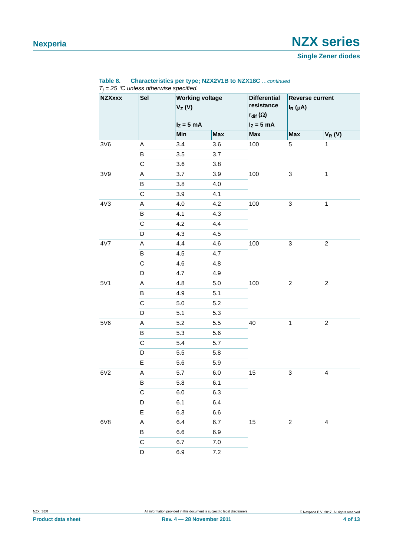**Single Zener diodes**

| <b>NZXxxx</b> | Sel                                          | $V_Z(V)$    | <b>Working voltage</b> | <b>Differential</b><br>resistance<br>$r_{\text{dif}}\left(\Omega\right)$ | <b>Reverse current</b><br>$I_R(\mu A)$ |                         |  |
|---------------|----------------------------------------------|-------------|------------------------|--------------------------------------------------------------------------|----------------------------------------|-------------------------|--|
|               |                                              | $IZ = 5 mA$ |                        | $I_Z = 5$ mA                                                             |                                        |                         |  |
|               |                                              | Min         | <b>Max</b>             | <b>Max</b>                                                               | <b>Max</b>                             | $V_R(V)$                |  |
| 3V6           | Α                                            | 3.4         | 3.6                    | 100                                                                      | 5                                      | $\mathbf{1}$            |  |
|               | B                                            | 3.5         | 3.7                    |                                                                          |                                        |                         |  |
|               | $\mathsf C$                                  | 3.6         | 3.8                    |                                                                          |                                        |                         |  |
| 3V9           | Α                                            | 3.7         | 3.9                    | 100                                                                      | 3                                      | $\mathbf{1}$            |  |
|               | В                                            | 3.8         | 4.0                    |                                                                          |                                        |                         |  |
|               | C                                            | 3.9         | 4.1                    |                                                                          |                                        |                         |  |
| 4V3           | Α                                            | 4.0         | 4.2                    | 100                                                                      | 3                                      | $\mathbf{1}$            |  |
|               | В                                            | 4.1         | 4.3                    |                                                                          |                                        |                         |  |
|               | $\mathsf C$                                  | 4.2         | 4.4                    |                                                                          |                                        |                         |  |
|               | D                                            | 4.3         | 4.5                    |                                                                          |                                        |                         |  |
| 4V7           | Α                                            | 4.4         | 4.6                    | 100                                                                      | 3                                      | $\boldsymbol{2}$        |  |
|               | B                                            | 4.5         | 4.7                    |                                                                          |                                        |                         |  |
|               | $\mathsf C$                                  | 4.6         | 4.8                    |                                                                          |                                        |                         |  |
|               | D                                            | 4.7         | 4.9                    |                                                                          |                                        |                         |  |
| 5V1           | Α                                            | 4.8         | 5.0                    | 100                                                                      | $\overline{c}$                         | $\boldsymbol{2}$        |  |
|               | B                                            | 4.9         | 5.1                    |                                                                          |                                        |                         |  |
|               | $\mathsf C$                                  | 5.0         | 5.2                    |                                                                          |                                        |                         |  |
|               | D                                            | 5.1         | 5.3                    |                                                                          |                                        |                         |  |
| 5V6           | Α                                            | 5.2         | 5.5                    | 40                                                                       | $\mathbf{1}$                           | $\boldsymbol{2}$        |  |
|               | B                                            | 5.3         | 5.6                    |                                                                          |                                        |                         |  |
|               | $\mathsf C$                                  | 5.4         | 5.7                    |                                                                          |                                        |                         |  |
|               | D                                            | 5.5         | 5.8                    |                                                                          |                                        |                         |  |
|               | $\mathsf E$                                  | 5.6         | 5.9                    |                                                                          |                                        |                         |  |
| 6V2           | Α                                            | 5.7         | 6.0                    | 15                                                                       | 3                                      | $\overline{\mathbf{4}}$ |  |
|               | B                                            | 5.8         | 6.1                    |                                                                          |                                        |                         |  |
|               | С                                            | 6.0         | 6.3                    |                                                                          |                                        |                         |  |
|               | D                                            | 6.1         | 6.4                    |                                                                          |                                        |                         |  |
|               | E                                            | 6.3         | 6.6                    |                                                                          |                                        |                         |  |
| 6V8           | A                                            | 6.4         | 6.7                    | 15                                                                       | $\overline{c}$                         | $\overline{\mathbf{4}}$ |  |
|               | B<br>6.6<br>6.9<br>$\mathsf C$<br>6.7<br>7.0 |             |                        |                                                                          |                                        |                         |  |
|               |                                              |             |                        |                                                                          |                                        |                         |  |
|               | D                                            | 6.9         | $7.2\,$                |                                                                          |                                        |                         |  |

### **Table 8. Characteristics per type; NZX2V1B to NZX18C** *…continued*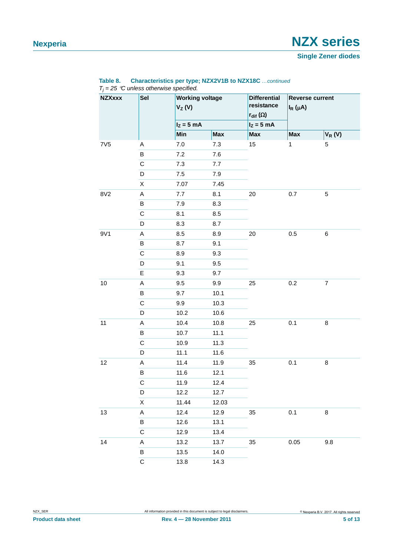**Single Zener diodes**

| <b>NZXxxx</b>   | Sel         | <b>Working voltage</b><br>$V_Z(V)$ |       | <b>Differential</b><br>resistance   | <b>Reverse current</b><br>$I_R(\mu A)$ |                |  |
|-----------------|-------------|------------------------------------|-------|-------------------------------------|----------------------------------------|----------------|--|
|                 |             | $I_Z = 5$ mA                       |       | $r_{\text{dif}}\left(\Omega\right)$ |                                        |                |  |
|                 |             | Min                                |       | $I_Z = 5$ mA                        | <b>Max</b>                             |                |  |
|                 |             |                                    | Max   | Max                                 | $\mathbf{1}$                           | $V_R(V)$       |  |
| 7V <sub>5</sub> | Α           | 7.0                                | $7.3$ | 15 <sub>1</sub>                     |                                        | 5              |  |
|                 | B           | 7.2                                | 7.6   |                                     |                                        |                |  |
|                 | $\mathsf C$ | 7.3                                | 7.7   |                                     |                                        |                |  |
|                 | D           | $7.5\,$                            | 7.9   |                                     |                                        |                |  |
|                 | X           | 7.07                               | 7.45  |                                     |                                        |                |  |
| 8V <sub>2</sub> | A           | 7.7                                | 8.1   | 20                                  | 0.7                                    | $\mathbf 5$    |  |
|                 | B           | 7.9                                | 8.3   |                                     |                                        |                |  |
|                 | $\mathsf C$ | 8.1                                | 8.5   |                                     |                                        |                |  |
|                 | D           | 8.3                                | 8.7   |                                     |                                        |                |  |
| 9V1             | A           | 8.5                                | 8.9   | 20                                  | $0.5\,$<br>6                           |                |  |
|                 | B           | 8.7                                | 9.1   |                                     |                                        |                |  |
|                 | $\mathsf C$ | 8.9                                | 9.3   |                                     |                                        |                |  |
|                 | D           | 9.1                                | 9.5   |                                     |                                        |                |  |
|                 | E           | 9.3                                | 9.7   |                                     |                                        |                |  |
| $10$            | A           | 9.5                                | 9.9   | 25                                  | 0.2                                    | $\overline{7}$ |  |
|                 | B           | 9.7                                | 10.1  |                                     |                                        |                |  |
|                 | C           | 9.9                                | 10.3  |                                     |                                        |                |  |
|                 | D           | 10.2                               | 10.6  |                                     |                                        |                |  |
| 11              | A           | 10.4                               | 10.8  | 25                                  | 0.1                                    | 8              |  |
|                 | B           | 10.7                               | 11.1  |                                     |                                        |                |  |
|                 | C           | 10.9                               | 11.3  |                                     |                                        |                |  |
|                 | D           | 11.1                               | 11.6  |                                     |                                        |                |  |
| 12              | A           | 11.4                               | 11.9  | 35                                  | 0.1                                    | 8              |  |
|                 | В           | 11.6                               | 12.1  |                                     |                                        |                |  |
|                 | $\mathsf C$ | 11.9                               | 12.4  |                                     |                                        |                |  |
|                 | D           | 12.2                               | 12.7  |                                     |                                        |                |  |
|                 | $\sf X$     | 11.44                              | 12.03 |                                     |                                        |                |  |
| 13              | Α           | 12.4                               | 12.9  | 35                                  | 0.1                                    | 8              |  |
|                 | B           | 12.6                               | 13.1  |                                     |                                        |                |  |
|                 | $\mathsf C$ | 12.9                               | 13.4  |                                     |                                        |                |  |
| 14              | Α           | 13.2                               | 13.7  | 35                                  | $0.05\,$                               | 9.8            |  |
|                 | B           | 13.5                               | 14.0  |                                     |                                        |                |  |
|                 | $\mathsf C$ | 13.8                               | 14.3  |                                     |                                        |                |  |

#### **Table 8. Characteristics per type; NZX2V1B to NZX18C** *…continued Tj = 25 C unless otherwise specified.*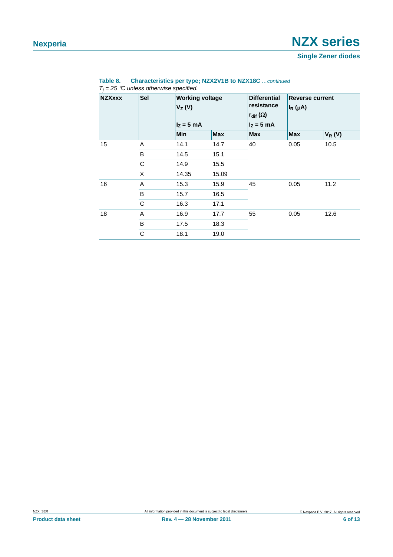**Single Zener diodes**

| <b>NZXxxx</b> | <b>Sel</b> | <b>Working voltage</b><br>$V_Z(V)$ |            | <b>Differential</b><br>resistance<br>$r_{\text{dif}}(\Omega)$ | <b>Reverse current</b><br>$I_R(\mu A)$ |          |
|---------------|------------|------------------------------------|------------|---------------------------------------------------------------|----------------------------------------|----------|
|               |            | $I_z = 5$ mA                       |            | $I_z = 5$ mA                                                  |                                        |          |
|               |            | <b>Min</b>                         | <b>Max</b> | <b>Max</b>                                                    | <b>Max</b>                             | $V_R(V)$ |
| 15            | A          | 14.1                               | 14.7       | 40                                                            | 0.05                                   | 10.5     |
| B<br>C        |            | 14.5                               | 15.1       |                                                               |                                        |          |
|               |            | 14.9                               | 15.5       |                                                               |                                        |          |
|               | X          | 14.35                              | 15.09      |                                                               |                                        |          |
| 16            | Α          | 15.3                               | 15.9       | 45                                                            | 0.05                                   | 11.2     |
|               | B          | 15.7                               | 16.5       |                                                               |                                        |          |
|               | C          | 16.3                               | 17.1       |                                                               |                                        |          |
| 18            | A          | 16.9                               | 17.7       | 55                                                            | 0.05                                   | 12.6     |
|               | B          | 17.5                               | 18.3       |                                                               |                                        |          |
|               | С          | 18.1                               | 19.0       |                                                               |                                        |          |

### **Table 8. Characteristics per type; NZX2V1B to NZX18C** *…continued*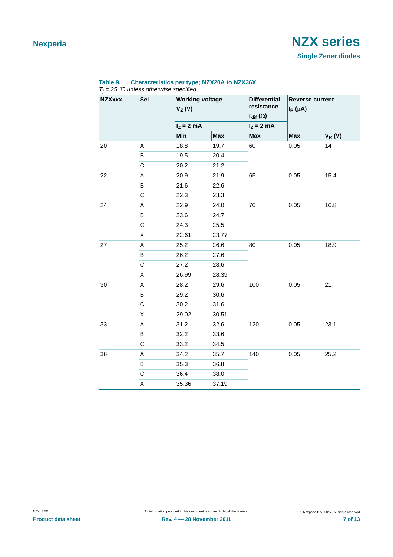**Single Zener diodes**

| <b>NZXxxx</b> | Sel         | <b>Working voltage</b><br>$V_Z(V)$ |            | <b>Differential</b><br>resistance                   | <b>Reverse current</b><br>$I_R(\mu A)$ |          |
|---------------|-------------|------------------------------------|------------|-----------------------------------------------------|----------------------------------------|----------|
|               |             | $I_Z = 2$ mA                       |            | $r_{\text{dif}}\left(\Omega\right)$<br>$I_Z = 2 mA$ |                                        |          |
|               |             | Min                                | <b>Max</b> | <b>Max</b>                                          | <b>Max</b>                             | $V_R(V)$ |
| $20\,$        | Α           | 18.8                               | 19.7       | 60                                                  | 0.05                                   | 14       |
|               | В           | 19.5                               | 20.4       |                                                     |                                        |          |
|               | $\mathsf C$ | 20.2                               | 21.2       |                                                     |                                        |          |
| 22            | Α           | 20.9                               | 21.9       | 65                                                  | 0.05                                   | 15.4     |
|               | В           | 21.6                               | 22.6       |                                                     |                                        |          |
|               | C           | 22.3                               | 23.3       |                                                     |                                        |          |
| 24            | Α           | 22.9                               | 24.0       | 70                                                  | 0.05                                   | 16.8     |
|               | В           | 23.6                               | 24.7       |                                                     |                                        |          |
|               | C           | 24.3                               | 25.5       |                                                     |                                        |          |
|               | X           | 22.61                              | 23.77      |                                                     |                                        |          |
| 27            | Α           | 25.2                               | 26.6       | 80                                                  | 0.05                                   | 18.9     |
|               | B           | 26.2                               | 27.6       |                                                     |                                        |          |
|               | $\mathsf C$ | 27.2                               | 28.6       |                                                     |                                        |          |
|               | X           | 26.99                              | 28.39      |                                                     |                                        |          |
| 30            | Α           | 28.2                               | 29.6       | 100                                                 | 0.05                                   | 21       |
|               | B           | 29.2                               | 30.6       |                                                     |                                        |          |
|               | $\mathsf C$ | 30.2                               | 31.6       |                                                     |                                        |          |
|               | X           | 29.02                              | 30.51      |                                                     |                                        |          |
| 33            | Α           | 31.2                               | 32.6       | 120                                                 | 0.05                                   | 23.1     |
|               | В           | 32.2                               | 33.6       |                                                     |                                        |          |
|               | $\mathsf C$ | 33.2                               | 34.5       |                                                     |                                        |          |
| 36            | Α           | 34.2                               | 35.7       | 140                                                 | 0.05                                   | 25.2     |
|               | B           | 35.3                               | 36.8       |                                                     |                                        |          |
|               | C           | 36.4                               | 38.0       |                                                     |                                        |          |
|               | X           | 35.36                              | 37.19      |                                                     |                                        |          |

### **Table 9. Characteristics per type; NZX20A to NZX36X**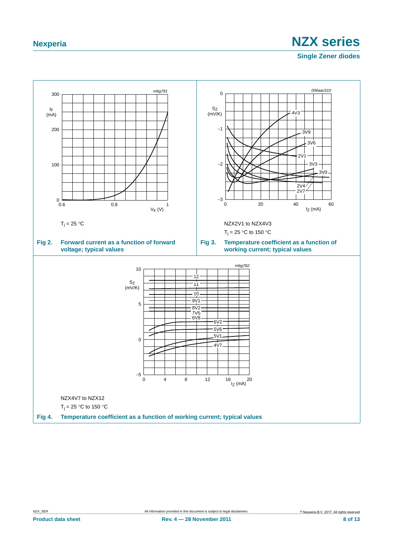**Single Zener diodes**

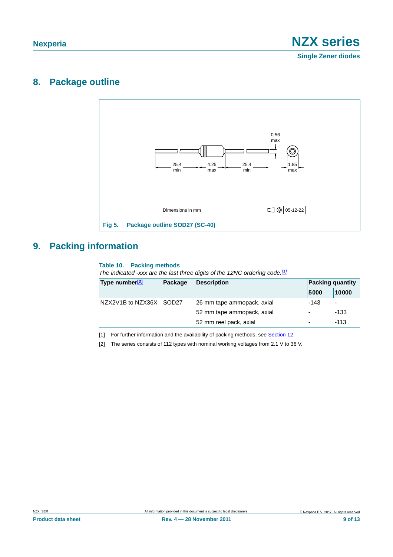**Single Zener diodes**

### <span id="page-8-2"></span>**8. Package outline**



## <span id="page-8-3"></span>**9. Packing information**

#### **Table 10. Packing methods**

*The indicated -xxx are the last three digits of the 12NC ordering code.[\[1\]](#page-8-0)*

| Type number <sup>[2]</sup> | Package | <b>Description</b>         | <b>Packing quantity</b>  |                          |
|----------------------------|---------|----------------------------|--------------------------|--------------------------|
|                            |         |                            | 5000                     | 10000                    |
| NZX2V1B to NZX36X SOD27    |         | 26 mm tape ammopack, axial | $-143$                   | $\overline{\phantom{a}}$ |
|                            |         | 52 mm tape ammopack, axial | $\overline{\phantom{0}}$ | -133                     |
|                            |         | 52 mm reel pack, axial     | -                        | $-113$                   |

<span id="page-8-0"></span>[1] For further information and the availability of packing methods, see [Section 12.](#page-11-0)

<span id="page-8-1"></span>[2] The series consists of 112 types with nominal working voltages from 2.1 V to 36 V.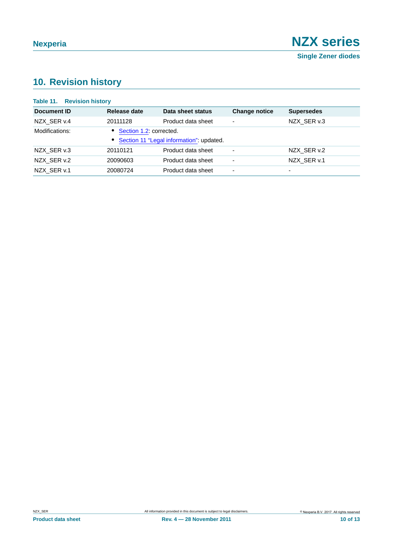**Single Zener diodes**

## <span id="page-9-0"></span>**10. Revision history**

| <b>Table 11. Revision history</b>        |                         |                    |                          |                   |
|------------------------------------------|-------------------------|--------------------|--------------------------|-------------------|
| Document ID                              | Release date            | Data sheet status  | <b>Change notice</b>     | <b>Supersedes</b> |
| NZX SER v.4                              | 20111128                | Product data sheet |                          | NZX SER v.3       |
| Modifications:                           | Section 1.2: corrected. |                    |                          |                   |
| Section 11 "Legal information": updated. |                         |                    |                          |                   |
| NZX SER v.3                              | 20110121                | Product data sheet |                          | NZX SER v.2       |
| NZX SER v.2                              | 20090603                | Product data sheet |                          | NZX SER v.1       |
| NZX SER v.1                              | 20080724                | Product data sheet | $\overline{\phantom{0}}$ | -                 |
|                                          |                         |                    |                          |                   |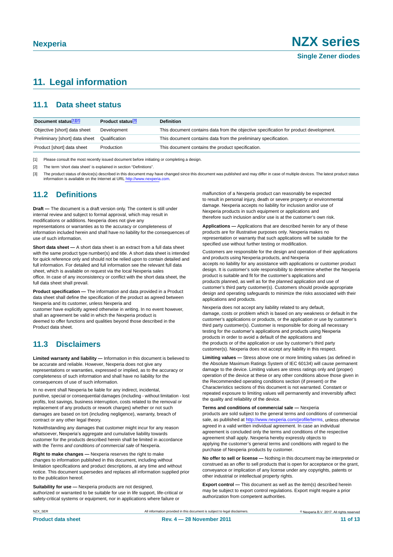### <span id="page-10-0"></span>**11. Legal information**

### <span id="page-10-1"></span>**11.1 Data sheet status**

| Document status[1][2]          | Product status <sup>[3]</sup> | <b>Definition</b>                                                                     |
|--------------------------------|-------------------------------|---------------------------------------------------------------------------------------|
| Objective [short] data sheet   | Development                   | This document contains data from the objective specification for product development. |
| Preliminary [short] data sheet | Qualification                 | This document contains data from the preliminary specification.                       |
| Product [short] data sheet     | Production                    | This document contains the product specification.                                     |

[1] Please consult the most recently issued document before initiating or completing a design.

[2] The term 'short data sheet' is explained in section "Definitions".

[3] The product status of device(s) described in this document may have changed since this document was published and may differ in case of multiple devices. The latest product status<br>information is available on the Intern

### <span id="page-10-2"></span>**11.2 Definitions**

**Draft —** The document is a draft version only. The content is still under internal review and subject to formal approval, which may result in modifications or additions. Nexperia does not give any

representations or warranties as to the accuracy or completeness of information included herein and shall have no liability for the consequences of use of such information.

**Short data sheet —** A short data sheet is an extract from a full data sheet with the same product type number(s) and title. A short data sheet is intended for quick reference only and should not be relied upon to contain detailed and full information. For detailed and full information see the relevant full data sheet, which is available on request via the local Nexperia sales office. In case of any inconsistency or conflict with the short data sheet, the full data sheet shall prevail.

**Product specification —** The information and data provided in a Product data sheet shall define the specification of the product as agreed between Nexperia and its customer, unless Nexperia and

customer have explicitly agreed otherwise in writing. In no event however, shall an agreement be valid in which the Nexperia product is deemed to offer functions and qualities beyond those described in the Product data sheet.

### <span id="page-10-3"></span>**11.3 Disclaimers**

**Limited warranty and liability —** Information in this document is believed to be accurate and reliable. However, Nexperia does not give any representations or warranties, expressed or implied, as to the accuracy or completeness of such information and shall have no liability for the consequences of use of such information.

In no event shall Nexperia be liable for any indirect, incidental, punitive, special or consequential damages (including - without limitation - lost profits, lost savings, business interruption, costs related to the removal or replacement of any products or rework charges) whether or not such damages are based on tort (including negligence), warranty, breach of contract or any other legal theory.

Notwithstanding any damages that customer might incur for any reason whatsoever, Nexperia's aggregate and cumulative liability towards customer for the products described herein shall be limited in accordance with the *Terms and conditions of commercial sale* of Nexperia.

**Right to make changes —** Nexperia reserves the right to make changes to information published in this document, including without limitation specifications and product descriptions, at any time and without notice. This document supersedes and replaces all information supplied prior to the publication hereof.

**Suitability for use —** Nexperia products are not designed, authorized or warranted to be suitable for use in life support, life-critical or safety-critical systems or equipment, nor in applications where failure or

malfunction of a Nexperia product can reasonably be expected to result in personal injury, death or severe property or environmental damage. Nexperia accepts no liability for inclusion and/or use of Nexperia products in such equipment or applications and therefore such inclusion and/or use is at the customer's own risk.

**Applications —** Applications that are described herein for any of these products are for illustrative purposes only. Nexperia makes no representation or warranty that such applications will be suitable for the specified use without further testing or modification.

Customers are responsible for the design and operation of their applications and products using Nexperia products, and Nexperia accepts no liability for any assistance with applications or customer product design. It is customer's sole responsibility to determine whether the Nexperia product is suitable and fit for the customer's applications and products planned, as well as for the planned application and use of customer's third party customer(s). Customers should provide appropriate design and operating safeguards to minimize the risks associated with their applications and products.

Nexperia does not accept any liability related to any default, damage, costs or problem which is based on any weakness or default in the customer's applications or products, or the application or use by customer's third party customer(s). Customer is responsible for doing all necessary testing for the customer's applications and products using Nexperia products in order to avoid a default of the applications and the products or of the application or use by customer's third party customer(s). Nexperia does not accept any liability in this respect.

**Limiting values —** Stress above one or more limiting values (as defined in the Absolute Maximum Ratings System of IEC 60134) will cause permanent damage to the device. Limiting values are stress ratings only and (proper) operation of the device at these or any other conditions above those given in the Recommended operating conditions section (if present) or the Characteristics sections of this document is not warranted. Constant or repeated exposure to limiting values will permanently and irreversibly affect the quality and reliability of the device.

**Terms and conditions of commercial sale —** Nexperia

products are sold subject to the general terms and conditions of commercial sale, as published at [http://www.nexperia.com/profile/te](http://www.nexperia.com/profile/terms)rms, unless otherwise agreed in a valid written individual agreement. In case an individual agreement is concluded only the terms and conditions of the respective agreement shall apply. Nexperia hereby expressly objects to applying the customer's general terms and conditions with regard to the purchase of Nexperia products by customer.

**No offer to sell or license —** Nothing in this document may be interpreted or construed as an offer to sell products that is open for acceptance or the grant, conveyance or implication of any license under any copyrights, patents or other industrial or intellectual property rights.

**Export control —** This document as well as the item(s) described herein may be subject to export control regulations. Export might require a prior authorization from competent authorities.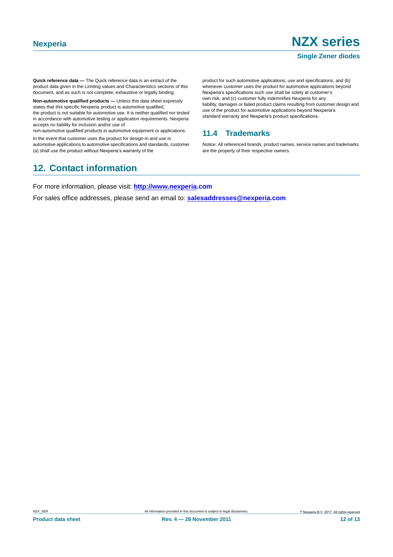#### **Single Zener diodes**

**Quick reference data —** The Quick reference data is an extract of the product data given in the Limiting values and Characteristics sections of this document, and as such is not complete, exhaustive or legally binding.

**Non-automotive qualified products —** Unless this data sheet expressly states that this specific Nexperia product is automotive qualified, the product is not suitable for automotive use. It is neither qualified nor tested in accordance with automotive testing or application requirements. Nexperia accepts no liability for inclusion and/or use of

non-automotive qualified products in automotive equipment or applications.

In the event that customer uses the product for design-in and use in automotive applications to automotive specifications and standards, customer (a) shall use the product without Nexperia's warranty of the

product for such automotive applications, use and specifications, and (b) whenever customer uses the product for automotive applications beyond Nexperia's specifications such use shall be solely at customer's own risk, and (c) customer fully indemnifies Nexperia for any liability, damages or failed product claims resulting from customer design and use of the product for automotive applications beyond Nexperia's standard warranty and Nexperia's product specifications.

### <span id="page-11-1"></span>**11.4 Trademarks**

Notice: All referenced brands, product names, service names and trademarks are the property of their respective owners.

### <span id="page-11-0"></span>**12. Contact information**

For more information, please visit: **http://www.nexperia.com**

For sales office addresses, please send an email to: **salesaddresses@nexperia.com**